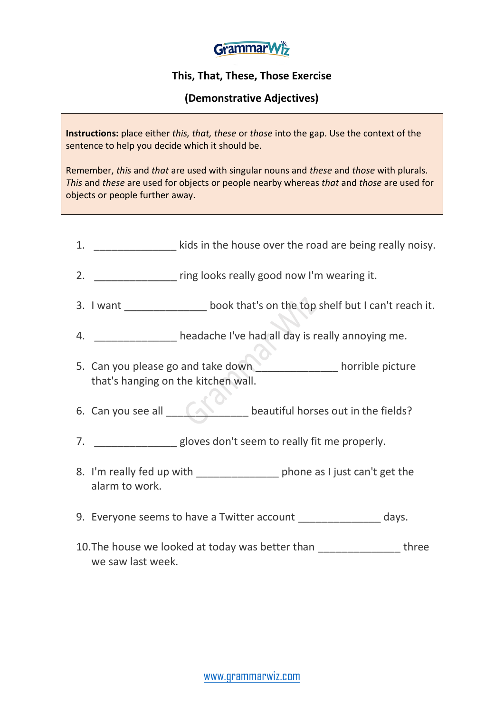

## **This, That, These, Those Exercise**

## **(Demonstrative Adjectives)**

**Instructions:** place either *this, that, these* or *those* into the gap. Use the context of the sentence to help you decide which it should be.

Remember, *this* and *that* are used with singular nouns and *these* and *those* with plurals. *This* and *these* are used for objects or people nearby whereas *that* and *those* are used for objects or people further away.

- 1. **Example 20 also in the house over the road are being really noisy.**
- 2. \_\_\_\_\_\_\_\_\_\_\_\_\_\_ ring looks really good now I'm wearing it.
- 3. I want  $\qquad \qquad \qquad$  book that's on the top shelf but I can't reach it.
- 4. \_\_\_\_\_\_\_\_\_\_\_\_\_\_ headache I've had all day is really annoying me.
- 5. Can you please go and take down horrible picture that's hanging on the kitchen wall.
- 6. Can you see all **EXAMPLE 1989** beautiful horses out in the fields?
- 7. **Example 20 and Strong Seem is only fit me properly.**
- 8. I'm really fed up with \_\_\_\_\_\_\_\_\_\_\_\_\_\_\_\_\_ phone as I just can't get the alarm to work.
- 9. Everyone seems to have a Twitter account days.
- 10. The house we looked at today was better than three we saw last week.